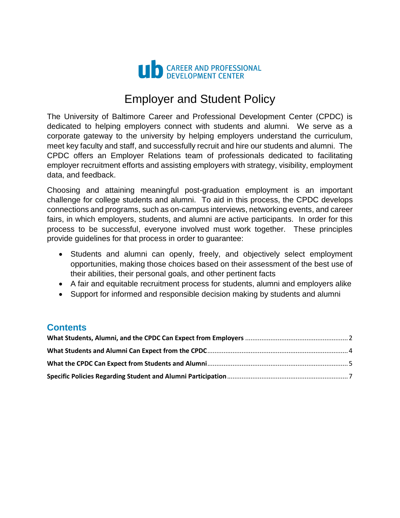

# Employer and Student Policy

The University of Baltimore Career and Professional Development Center (CPDC) is dedicated to helping employers connect with students and alumni. We serve as a corporate gateway to the university by helping employers understand the curriculum, meet key faculty and staff, and successfully recruit and hire our students and alumni. The CPDC offers an Employer Relations team of professionals dedicated to facilitating employer recruitment efforts and assisting employers with strategy, visibility, employment data, and feedback.

Choosing and attaining meaningful post-graduation employment is an important challenge for college students and alumni. To aid in this process, the CPDC develops connections and programs, such as on-campus interviews, networking events, and career fairs, in which employers, students, and alumni are active participants. In order for this process to be successful, everyone involved must work together. These principles provide guidelines for that process in order to guarantee:

- Students and alumni can openly, freely, and objectively select employment opportunities, making those choices based on their assessment of the best use of their abilities, their personal goals, and other pertinent facts
- A fair and equitable recruitment process for students, alumni and employers alike
- Support for informed and responsible decision making by students and alumni

#### **Contents**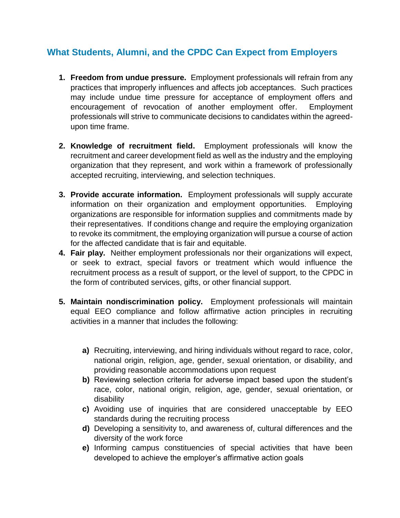# <span id="page-1-0"></span>**What Students, Alumni, and the CPDC Can Expect from Employers**

- **1. Freedom from undue pressure.** Employment professionals will refrain from any practices that improperly influences and affects job acceptances. Such practices may include undue time pressure for acceptance of employment offers and encouragement of revocation of another employment offer. Employment professionals will strive to communicate decisions to candidates within the agreedupon time frame.
- **2. Knowledge of recruitment field.** Employment professionals will know the recruitment and career development field as well as the industry and the employing organization that they represent, and work within a framework of professionally accepted recruiting, interviewing, and selection techniques.
- **3. Provide accurate information.** Employment professionals will supply accurate information on their organization and employment opportunities. Employing organizations are responsible for information supplies and commitments made by their representatives. If conditions change and require the employing organization to revoke its commitment, the employing organization will pursue a course of action for the affected candidate that is fair and equitable.
- **4. Fair play.** Neither employment professionals nor their organizations will expect, or seek to extract, special favors or treatment which would influence the recruitment process as a result of support, or the level of support, to the CPDC in the form of contributed services, gifts, or other financial support.
- **5. Maintain nondiscrimination policy.** Employment professionals will maintain equal EEO compliance and follow affirmative action principles in recruiting activities in a manner that includes the following:
	- **a)** Recruiting, interviewing, and hiring individuals without regard to race, color, national origin, religion, age, gender, sexual orientation, or disability, and providing reasonable accommodations upon request
	- **b)** Reviewing selection criteria for adverse impact based upon the student's race, color, national origin, religion, age, gender, sexual orientation, or disability
	- **c)** Avoiding use of inquiries that are considered unacceptable by EEO standards during the recruiting process
	- **d)** Developing a sensitivity to, and awareness of, cultural differences and the diversity of the work force
	- **e)** Informing campus constituencies of special activities that have been developed to achieve the employer's affirmative action goals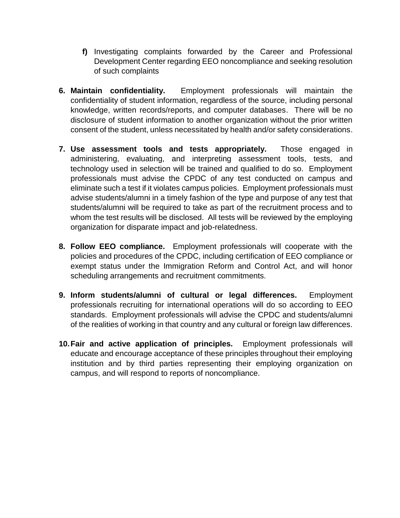- **f)** Investigating complaints forwarded by the Career and Professional Development Center regarding EEO noncompliance and seeking resolution of such complaints
- **6. Maintain confidentiality.** Employment professionals will maintain the confidentiality of student information, regardless of the source, including personal knowledge, written records/reports, and computer databases. There will be no disclosure of student information to another organization without the prior written consent of the student, unless necessitated by health and/or safety considerations.
- **7. Use assessment tools and tests appropriately.** Those engaged in administering, evaluating, and interpreting assessment tools, tests, and technology used in selection will be trained and qualified to do so. Employment professionals must advise the CPDC of any test conducted on campus and eliminate such a test if it violates campus policies. Employment professionals must advise students/alumni in a timely fashion of the type and purpose of any test that students/alumni will be required to take as part of the recruitment process and to whom the test results will be disclosed. All tests will be reviewed by the employing organization for disparate impact and job-relatedness.
- **8. Follow EEO compliance.** Employment professionals will cooperate with the policies and procedures of the CPDC, including certification of EEO compliance or exempt status under the Immigration Reform and Control Act, and will honor scheduling arrangements and recruitment commitments.
- **9. Inform students/alumni of cultural or legal differences.** Employment professionals recruiting for international operations will do so according to EEO standards. Employment professionals will advise the CPDC and students/alumni of the realities of working in that country and any cultural or foreign law differences.
- **10.Fair and active application of principles.** Employment professionals will educate and encourage acceptance of these principles throughout their employing institution and by third parties representing their employing organization on campus, and will respond to reports of noncompliance.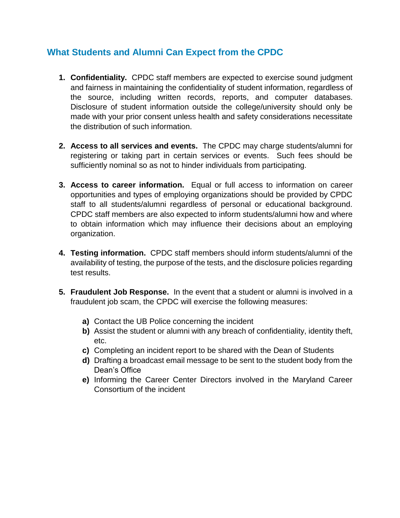## <span id="page-3-0"></span>**What Students and Alumni Can Expect from the CPDC**

- **1. Confidentiality.** CPDC staff members are expected to exercise sound judgment and fairness in maintaining the confidentiality of student information, regardless of the source, including written records, reports, and computer databases. Disclosure of student information outside the college/university should only be made with your prior consent unless health and safety considerations necessitate the distribution of such information.
- **2. Access to all services and events.** The CPDC may charge students/alumni for registering or taking part in certain services or events. Such fees should be sufficiently nominal so as not to hinder individuals from participating.
- **3. Access to career information.** Equal or full access to information on career opportunities and types of employing organizations should be provided by CPDC staff to all students/alumni regardless of personal or educational background. CPDC staff members are also expected to inform students/alumni how and where to obtain information which may influence their decisions about an employing organization.
- **4. Testing information.** CPDC staff members should inform students/alumni of the availability of testing, the purpose of the tests, and the disclosure policies regarding test results.
- **5. Fraudulent Job Response.** In the event that a student or alumni is involved in a fraudulent job scam, the CPDC will exercise the following measures:
	- **a)** Contact the UB Police concerning the incident
	- **b)** Assist the student or alumni with any breach of confidentiality, identity theft, etc.
	- **c)** Completing an incident report to be shared with the Dean of Students
	- **d)** Drafting a broadcast email message to be sent to the student body from the Dean's Office
	- **e)** Informing the Career Center Directors involved in the Maryland Career Consortium of the incident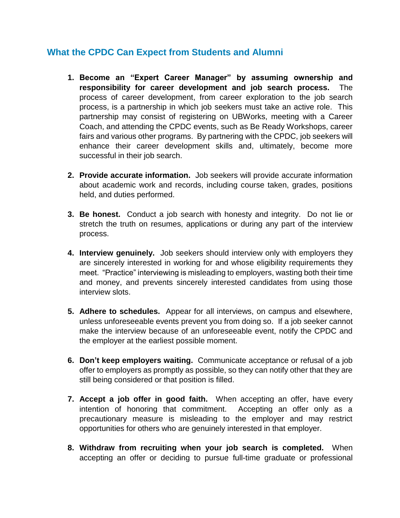### <span id="page-4-0"></span>**What the CPDC Can Expect from Students and Alumni**

- **1. Become an "Expert Career Manager" by assuming ownership and responsibility for career development and job search process.** The process of career development, from career exploration to the job search process, is a partnership in which job seekers must take an active role. This partnership may consist of registering on UBWorks, meeting with a Career Coach, and attending the CPDC events, such as Be Ready Workshops, career fairs and various other programs. By partnering with the CPDC, job seekers will enhance their career development skills and, ultimately, become more successful in their job search.
- **2. Provide accurate information.** Job seekers will provide accurate information about academic work and records, including course taken, grades, positions held, and duties performed.
- **3. Be honest.** Conduct a job search with honesty and integrity. Do not lie or stretch the truth on resumes, applications or during any part of the interview process.
- **4. Interview genuinely.** Job seekers should interview only with employers they are sincerely interested in working for and whose eligibility requirements they meet. "Practice" interviewing is misleading to employers, wasting both their time and money, and prevents sincerely interested candidates from using those interview slots.
- **5. Adhere to schedules.** Appear for all interviews, on campus and elsewhere, unless unforeseeable events prevent you from doing so. If a job seeker cannot make the interview because of an unforeseeable event, notify the CPDC and the employer at the earliest possible moment.
- **6. Don't keep employers waiting.** Communicate acceptance or refusal of a job offer to employers as promptly as possible, so they can notify other that they are still being considered or that position is filled.
- **7. Accept a job offer in good faith.** When accepting an offer, have every intention of honoring that commitment. Accepting an offer only as a precautionary measure is misleading to the employer and may restrict opportunities for others who are genuinely interested in that employer.
- **8. Withdraw from recruiting when your job search is completed.** When accepting an offer or deciding to pursue full-time graduate or professional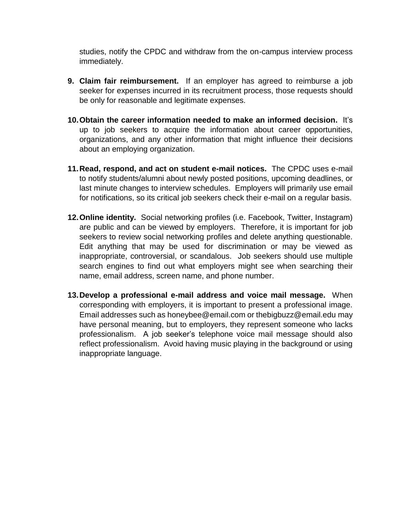studies, notify the CPDC and withdraw from the on-campus interview process immediately.

- **9. Claim fair reimbursement.** If an employer has agreed to reimburse a job seeker for expenses incurred in its recruitment process, those requests should be only for reasonable and legitimate expenses.
- **10.Obtain the career information needed to make an informed decision.** It's up to job seekers to acquire the information about career opportunities, organizations, and any other information that might influence their decisions about an employing organization.
- **11.Read, respond, and act on student e-mail notices.** The CPDC uses e-mail to notify students/alumni about newly posted positions, upcoming deadlines, or last minute changes to interview schedules.Employers will primarily use email for notifications, so its critical job seekers check their e-mail on a regular basis.
- **12.Online identity.** Social networking profiles (i.e. Facebook, Twitter, Instagram) are public and can be viewed by employers. Therefore, it is important for job seekers to review social networking profiles and delete anything questionable. Edit anything that may be used for discrimination or may be viewed as inappropriate, controversial, or scandalous. Job seekers should use multiple search engines to find out what employers might see when searching their name, email address, screen name, and phone number.
- **13.Develop a professional e-mail address and voice mail message.** When corresponding with employers, it is important to present a professional image. Email addresses such as honeybee@email.com or thebigbuzz@email.edu may have personal meaning, but to employers, they represent someone who lacks professionalism. A job seeker's telephone voice mail message should also reflect professionalism. Avoid having music playing in the background or using inappropriate language.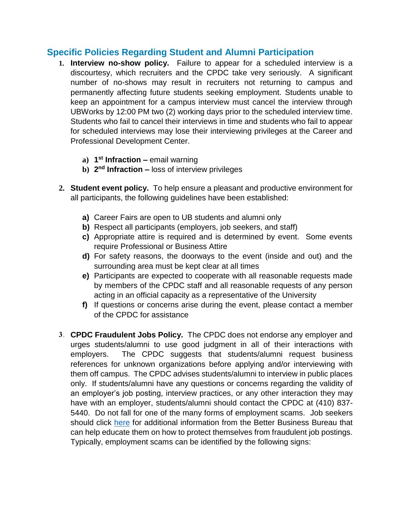### <span id="page-6-0"></span>**Specific Policies Regarding Student and Alumni Participation**

- **1. Interview no-show policy.** Failure to appear for a scheduled interview is a discourtesy, which recruiters and the CPDC take very seriously. A significant number of no-shows may result in recruiters not returning to campus and permanently affecting future students seeking employment. Students unable to keep an appointment for a campus interview must cancel the interview through UBWorks by 12:00 PM two (2) working days prior to the scheduled interview time. Students who fail to cancel their interviews in time and students who fail to appear for scheduled interviews may lose their interviewing privileges at the Career and Professional Development Center.
	- **a) 1 st Infraction –** email warning
	- **b) 2 nd Infraction –** loss of interview privileges
- **2. Student event policy.** To help ensure a pleasant and productive environment for all participants, the following guidelines have been established:
	- **a)** Career Fairs are open to UB students and alumni only
	- **b)** Respect all participants (employers, job seekers, and staff)
	- **c)** Appropriate attire is required and is determined by event. Some events require Professional or Business Attire
	- **d)** For safety reasons, the doorways to the event (inside and out) and the surrounding area must be kept clear at all times
	- **e)** Participants are expected to cooperate with all reasonable requests made by members of the CPDC staff and all reasonable requests of any person acting in an official capacity as a representative of the University
	- **f)** If questions or concerns arise during the event, please contact a member of the CPDC for assistance
- **3. CPDC Fraudulent Jobs Policy.** The CPDC does not endorse any employer and urges students/alumni to use good judgment in all of their interactions with employers. The CPDC suggests that students/alumni request business references for unknown organizations before applying and/or interviewing with them off campus. The CPDC advises students/alumni to interview in public places only. If students/alumni have any questions or concerns regarding the validity of an employer's job posting, interview practices, or any other interaction they may have with an employer, students/alumni should contact the CPDC at (410) 837- 5440. Do not fall for one of the many forms of employment scams. Job seekers should click [here](http://www.bbb.org/greater-maryland/get-consumer-help/top-scams/job-seeker-scams/?id=105581&epslanguage=en) for additional information from the Better Business Bureau that can help educate them on how to protect themselves from fraudulent job postings. Typically, employment scams can be identified by the following signs: